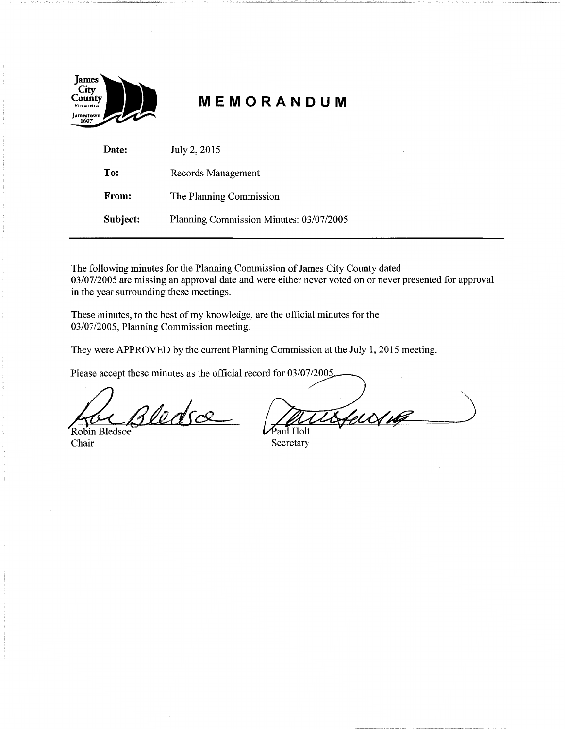

# **MEMORANDUM**

| Date:    | July 2, 2015                            |  |
|----------|-----------------------------------------|--|
| To:      | Records Management                      |  |
| From:    | The Planning Commission                 |  |
| Subject: | Planning Commission Minutes: 03/07/2005 |  |

The following minutes for the Planning Commission of James City County dated 03/07/2005 are missing an approval date and were either never voted on or never presented for approval in the year surrounding these meetings.

These minutes, to the best of my knowledge, are the official minutes for the 03/07/2005, Planning Commission meeting.

They were APPROVED by the current Planning Commission at the July 1, 2015 meeting.

Please accept these minutes as the official record for 03/07/2005

*£2\_/Mdso2-*

Robin Bledsoe<br>Chair

ferring <sup>5</sup>aul Holt

Secretary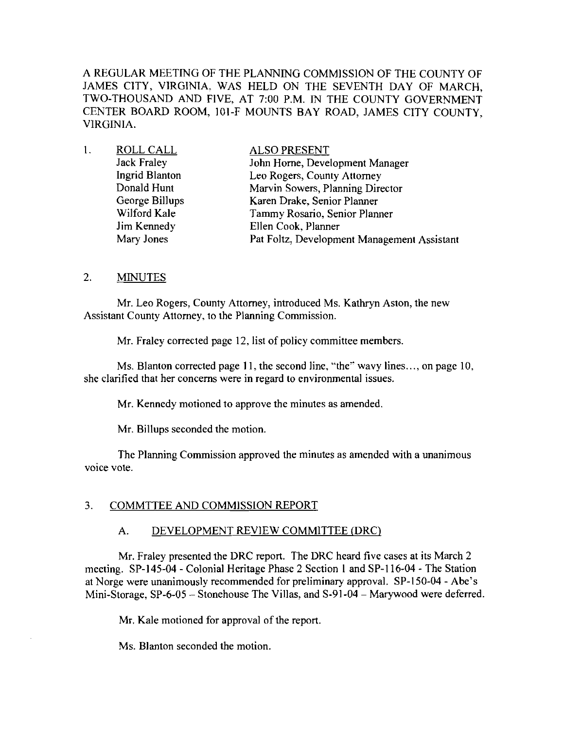A REGULAR MEETING OF THE PLANNING COMMISSION OF THE COUNTY OF JAMES CITY, VIRGINIA, WAS HELD ON THE SEVENTH DAY OF MARCH, TWO-THOUSAND AND FIVE, AT 7:00 P.M. IN THE COUNTY GOVERNMENT CENTER BOARD ROOM, 101-F MOUNTS BAY ROAD, JAMES CITY COUNTY, VIRGINIA.

| 1. | ROLL CALL          | <b>ALSO PRESENT</b>                         |
|----|--------------------|---------------------------------------------|
|    | <b>Jack Fraley</b> | John Horne, Development Manager             |
|    | Ingrid Blanton     | Leo Rogers, County Attorney                 |
|    | Donald Hunt        | Marvin Sowers, Planning Director            |
|    | George Billups     | Karen Drake, Senior Planner                 |
|    | Wilford Kale       | Tammy Rosario, Senior Planner               |
|    | Jim Kennedy        | Ellen Cook, Planner                         |
|    | Mary Jones         | Pat Foltz, Development Management Assistant |

# 2. **MINUTES**

Mr. Leo Rogers, County Attorney, introduced Ms. Kathryn Aston, the new Assistant County Attorney, to the Planning Commission.

Mr. Fraley corrected page 12, list of policy committee members.

Ms. Blanton corrected page 11, the second line, "the" wavy lines..., on page 10, she clarified that her concerns were in regard to environmental issues.

Mr. Kennedy motioned to approve the minutes as amended.

Mr. Billups seconded the motion.

The Planning Commission approved the minutes as amended with a unanimous voice vote.

#### 3. COMMTTEE AND COMMISSION REPORT

#### A. DEVELOPMENT REVIEW COMMITTEE (DRC)

Mr. Fraley presented the DRC report. The DRC heard five cases at its March 2 meeting. SP-145-04 - Colonial Heritage Phase 2 Section I and SP-116-04 - The Station at Norge were unanimously recommended for preliminary approval. SP-150-04 - Abe's Mini-Storage, SP-6-05 - Stonehouse The Villas, and S-91-04 - Marywood were deferred.

Mr. Kale motioned for approval of the report.

Ms. Blanton seconded the motion.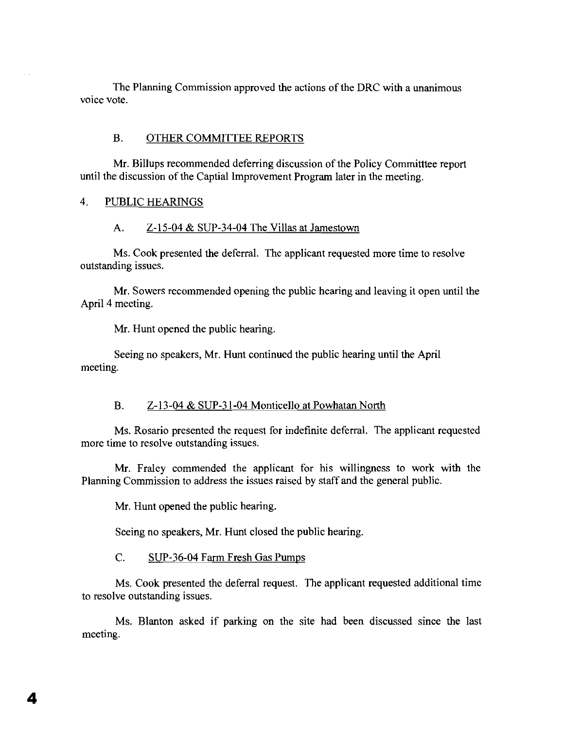The Planning Commission approved the actions of the DRC with a unanimous voice vote.

#### B. OTHER COMMITTEE REPORTS

Mr. Billups recommended deferring discussion of the Policy Committee report until the discussion of the Captial Improvement Program later in the meeting.

#### 4. PUBLIC HEARINGS

#### A. Z-15-04 & SUP-34-04 The Villas at Jamestown

Ms. Cook presented the deferral. The applicant requested more time to resolve outstanding issues.

Mr. Sowers recommended opening the public hearing and leaving it open until the April 4 meeting.

Mr. Hunt opened the public hearing.

Seeing no speakers, Mr. Hunt continued the public hearing until the April meeting.

#### B. Z-13-04 & SUP-31-04 Monticello at Powhatan North

Ms. Rosario presented the request for indefinite deferral. The applicant requested more time to resolve outstanding issues.

Mr. Fraley commended the applicant for his willingness to work with the Planning Commission to address the issues raised by staff and the general public.

Mr. Hunt opened the public hearing.

4

 $\sim$ 

Seeing no speakers, Mr. Hunt closed the public hearing.

#### C. SUP-36-04 Farm Fresh Gas Pumps

Ms. Cook presented the deferral request. The applicant requested additional time to resolve outstanding issues.

Ms. Blanton asked if parking on the site had been discussed since the last meeting.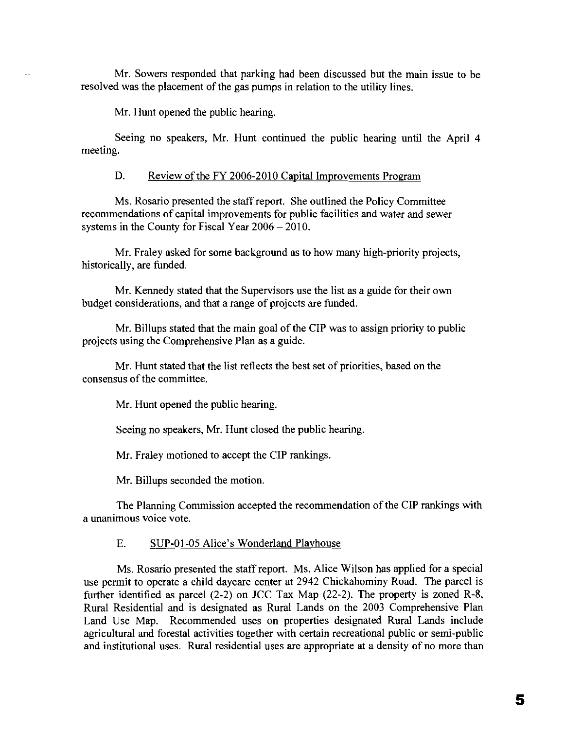Mr. Sowers responded that parking had been discussed but the main issue to be resolved was the placement of the gas pumps in relation to the utility lines.

Mr. Hunt opened the public hearing.

Seeing no speakers, Mr. Hunt continued the public hearing until the April 4 meeting.

D. Review of the FY 2006-2010 Capital Improvements Program

Ms. Rosario presented the staff report. She outlined the Policy Committee recommendations of capital improvements for public facilities and water and sewer systems in the County for Fiscal Year  $2006 - 2010$ .

Mr. Fraley asked for some background as to how many high-priority projects, historically, are funded.

Mr. Kennedy stated that the Supervisors use the list as a guide for their own budget considerations, and that a range of projects are funded.

Mr. Billups stated that the main goal of the CIP was to assign priority to public projects using the Comprehensive Plan as a guide.

Mr. Hunt stated that the list reflects the best set of priorities, based on the consensus of the committee.

Mr. Hunt opened the public hearing.

Seeing no speakers, Mr. Hunt closed the public hearing.

Mr. Fraley motioned to accept the CIP rankings.

Mr. Billups seconded the motion.

The Planning Commission accepted the recommendation of the CIP rankings with a unanimous voice vote.

## E. SUP-OI-OS Alice's Wonderland Playhouse

Ms. Rosario presented the staff report. Ms. Alice Wilson has applied for a special use permit to operate a child daycare center at 2942 Chickahominy Road. The parcel is further identified as parcel (2-2) on *lCC* Tax Map (22-2). The property is zoned R-8, Rural Residential and is designated as Rural Lands on the 2003 Comprehensive Plan Land Use Map. Recommended uses on properties designated Rural Lands include agricultural and forestal activities together with certain recreational public or semi-public and institutional uses. Rural residential uses are appropriate at a density of no more than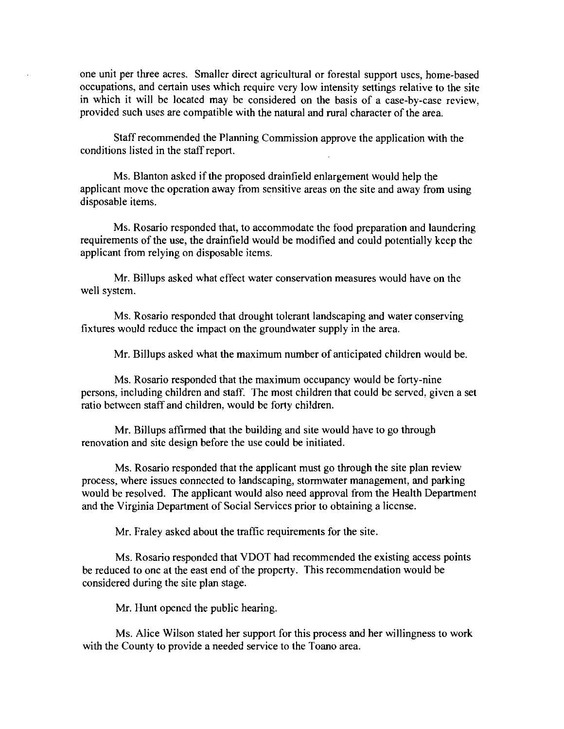one unit per three acres. Smaller direct agricultural or forestal support uses, home-based occupations, and certain uses which require very low intensity settings relative to the site in which it will be located may be considered on the basis of a case-by-case review, provided such uses are compatible with the natural and rural character of the area.

Staff recommended the Planning Commission approve the application with the conditions listed in the staff report.

Ms. Blanton asked if the proposed drainfield enlargement would help the applicant move the operation away from sensitive areas on the site and away from using disposable items.

Ms. Rosario responded that, to accommodate the food preparation and laundering requirements of the use, the drainfield would be modified and could potentially keep the applicant from relying on disposable items.

Mr. Billups asked what effect water conservation measures would have on the well system.

Ms. Rosario responded that drought tolerant landscaping and water conserving fixtures would reduce the impact on the groundwater supply in the area.

Mr. Billups asked what the maximum number of anticipated children would be.

Ms. Rosario responded that the maximum occupancy would be forty-nine persons, including children and staff. The most children that could be served, given a set ratio between staff and children, would be forty children.

Mr. Billups affirmed that the building and site would have to go through renovation and site design before the use could be initiated.

Ms. Rosario responded that the applicant must go through the site plan review process, where issues connected to landscaping, stormwater management, and parking would be resolved. The applicant would also need approval from the Health Department and the Virginia Department of Social Services prior to obtaining a license.

Mr. Fraley asked about the traffic requirements for the site.

Ms. Rosario responded that VDOT had recommended the existing access points be reduced to one at the east end of the property. This recommendation would be considered during the site plan stage.

Mr. Hunt opened the public hearing.

Ms. Alice Wilson stated her support for this process and her willingness to work with the County to provide a needed service to the Toano area.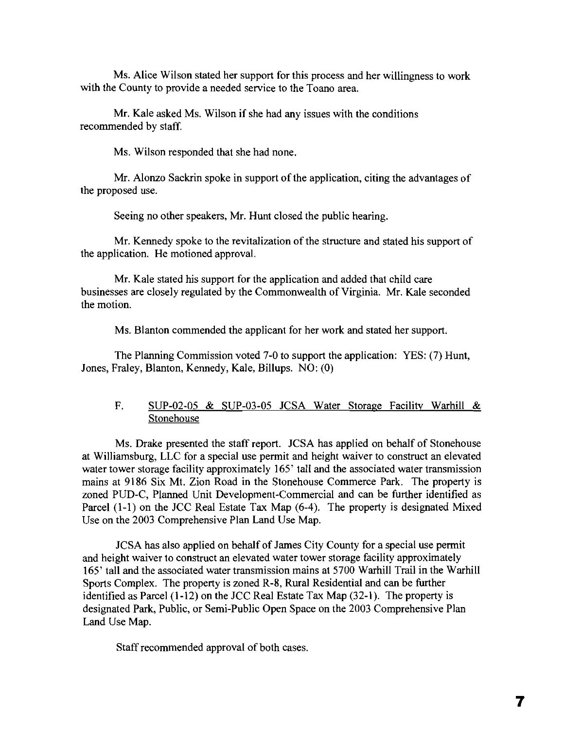Ms. Alice Wilson stated her support for this process and her willingness to work with the County to provide a needed service to the Toano area.

Mr. Kale asked Ms. Wilson if she had any issues with the conditions recommended by staff.

Ms. Wilson responded that she had none.

Mr. Alonzo Sackrin spoke in support of the application, citing the advantages of the proposed use.

Seeing no other speakers, Mr. Hunt closed the public hearing.

Mr. Kennedy spoke to the revitalization of the structure and stated his support of the application. He motioned approval.

Mr. Kale stated his support for the application and added that child care businesses are closely regulated by the Commonwealth of Virginia. Mr. Kale seconded the motion.

Ms. Blanton commended the applicant for her work and stated her support.

The Planning Commission voted 7-0 to support the application: YES: (7) Hunt, Jones, Fraley, Blanton, Kennedy, Kale, Billups. NO: (0)

# F. SUP-02-05 & SUP-03-05 JCSA Water Storage Facility Warhill & Stonehouse

Ms. Drake presented the staff report. JCSA has applied on behalf of Stonehouse at Williamsburg, LLC for a special use permit and height waiver to construct an elevated water tower storage facility approximately 165' tall and the associated water transmission mains at 9186 Six Mt. Zion Road in the Stonehouse Commerce Park. The property is zoned PUD-C, Planned Unit Development-Commercial and can be further identified as Parcel (I-I) on the JCC Real Estate Tax Map (6-4). The property is designated Mixed Use on the 2003 Comprehensive Plan Land Use Map.

JCSA has also applied on behalf of James City County for a special use permit and height waiver to construct an elevated water tower storage facility approximately 165' tall and the associated water transmission mains at 5700 Warhill Trail in the Warhill Sports Complex. The property is zoned R-8, Rural Residential and can be further identified as Parcel (1-12) on the JCC Real Estate Tax Map (32-1). The property is designated Park, Public, or Semi-Public Open Space on the 2003 Comprehensive Plan Land Use Map.

Staff recommended approval of both cases.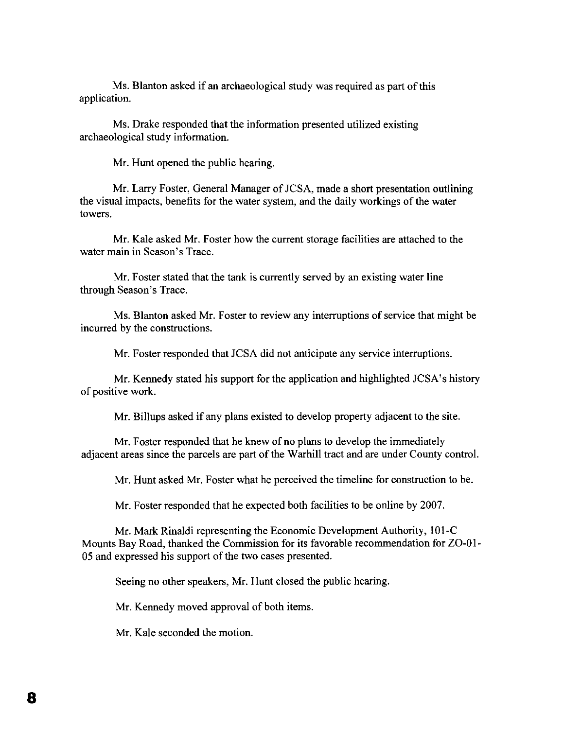Ms. Blanton asked if an archaeological study was required as part of this application.

Ms. Drake responded that the information presented utilized existing archaeological study information.

Mr. Hunt opened the public hearing.

Mr. Larry Foster, General Manager of JCSA, made a short presentation outlining the visual impacts, benefits for the water system, and the daily workings of the water towers.

Mr. Kale asked Mr. Foster how the current storage facilities are attached to the water main in Season's Trace.

Mr. Foster stated that the tank is currently served by an existing water line through Season's Trace.

Ms. Blanton asked Mr. Foster to review any interruptions of service that might be incurred by the constructions.

Mr. Foster responded that JCSA did not anticipate any service interruptions.

Mr. Kennedy stated his support for the application and highlighted JCSA's history of positive work.

Mr. Billups asked if any plans existed to develop property adjacent to the site.

Mr. Foster responded that he knew of no plans to develop the immediately adjacent areas since the parcels are part of the Warhill tract and are under County control.

Mr. Hunt asked Mr. Foster what he perceived the timeline for construction to be.

Mr. Foster responded that he expected both facilities to be online by 2007.

Mr. Mark Rinaldi representing the Economic Development Authority, 10l-C Mounts Bay Road, thanked the Commission for its favorable recommendation for ZO-O1 05 and expressed his support of the two cases presented.

Seeing no other speakers, Mr. Hunt closed the public hearing.

Mr. Kennedy moved approval of both items.

Mr. Kale seconded the motion.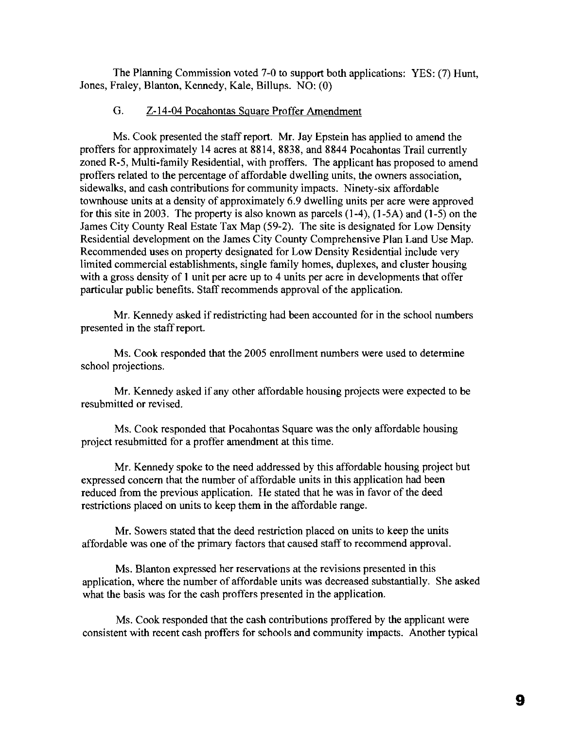The Planning Commission voted 7-0 to support both applications: YES: (7) Hunt, Jones, Fraley, Blanton, Kennedy, Kale, Billups. NO: (0)

## G. Z-14-04 Pocahontas Square Proffer Amendment

Ms. Cook presented the staff report. Mr. Jay Epstein has applied to amend the proffers for approximately 14 acres at 8814, 8838, and 8844 Pocahontas Trail currently zoned R-5, Multi-family Residential, with proffers. The applicant has proposed to amend proffers related to the percentage of affordable dwelling units, the owners association, sidewalks, and cash contributions for community impacts. Ninety-six affordable townhouse units at a density of approximately 6.9 dwelling units per acre were approved for this site in 2003. The property is also known as parcels (1-4), (I-SA) and (1-5) on the James City County Real Estate Tax Map (59-2). The site is designated for Low Density Residential development on the James City County Comprehensive Plan Land Use Map. Recommended uses on property designated for Low Density Residential include very limited commercial establishments, single family homes, duplexes, and cluster housing with a gross density of 1 unit per acre up to 4 units per acre in developments that offer particular public benefits. Staff recommends approval of the application.

Mr. Kennedy asked if redistricting had been accounted for in the school numbers presented in the staff report.

Ms. Cook responded that the 2005 enrollment numbers were used to determine school projections.

Mr. Kennedy asked if any other affordable housing projects were expected to be resubmitted or revised.

Ms. Cook responded that Pocahontas Square was the only affordable housing project resubmitted for a proffer amendment at this time.

Mr. Kennedy spoke to the need addressed by this affordable housing project but expressed concern that the number of affordable units in this application had been reduced from the previous application. He stated that he was in favor of the deed restrictions placed on units to keep them in the affordable range.

Mr. Sowers stated that the deed restriction placed on units to keep the units affordable was one of the primary factors that caused staff to recommend approval.

Ms. Blanton expressed her reservations at the revisions presented in this application, where the number of affordable units was decreased substantially. She asked what the basis was for the cash proffers presented in the application.

Ms. Cook responded that the cash contributions proffered by the applicant were consistent with recent cash proffers for schools and community impacts. Another typical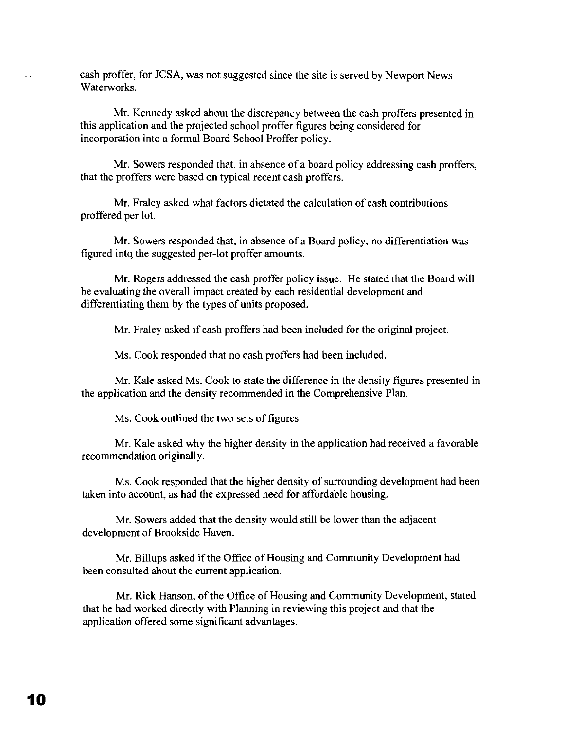cash proffer, for JCSA, was not suggested since the site is served by Newport News Waterworks.

Mr. Kennedy asked about the discrepancy between the cash proffers presented in this application and the projected school proffer figures being considered for incorporation into a formal Board School Proffer policy.

Mr. Sowers responded that, in absence of a board policy addressing cash proffers, that the proffers were based on typical recent cash proffers.

Mr. Fraley asked what factors dictated the calculation of cash contributions proffered per lot.

Mr. Sowers responded that, in absence of a Board policy, no differentiation was figured into the suggested per-lot proffer amounts.

Mr. Rogers addressed the cash proffer policy issue. He stated that the Board will be evaluating the overall impact created by each residential development and differentiating them by the types of units proposed.

Mr. Fraley asked if cash proffers had been included for the original project.

Ms. Cook responded that no cash proffers had been included.

Mr. Kale asked Ms. Cook to state the difference in the density figures presented in the application and the density recommended in the Comprehensive Plan.

Ms. Cook outlined the two sets of figures.

Mr. Kale asked why the higher density in the application had received a favorable recommendation originally.

Ms. Cook responded that the higher density of surrounding development had been taken into account, as had the expressed need for affordable housing.

Mr. Sowers added that the density would still be lower than the adjacent development of Brookside Haven.

Mr. Billups asked if the Office of Housing and Community Development had been consulted about the current application.

Mr. Rick Hanson, of the Office of Housing and Community Development, stated that he had worked directly with Planning in reviewing this project and that the application offered some significant advantages.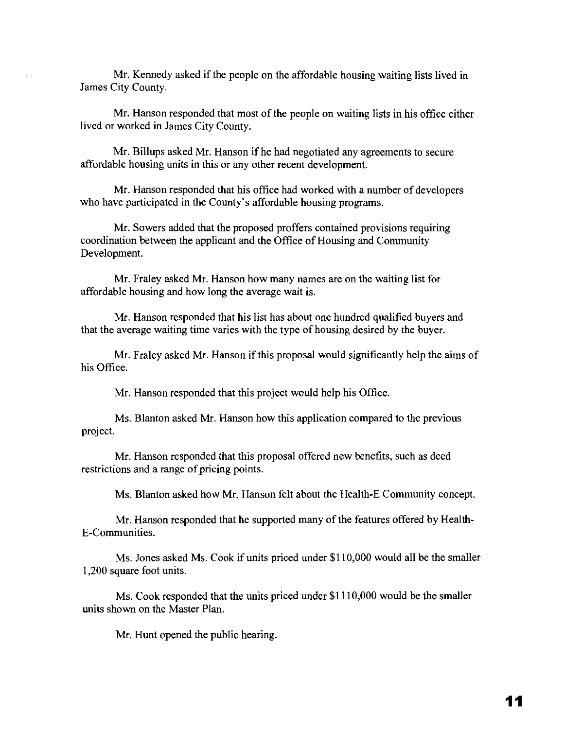Mr. Kennedy asked if the people on the affordable housing waiting lists lived in James City County.

Mr. Hanson responded that most of the people on waiting lists in his office either lived or worked in James City County.

Mr. Billups asked Mr. Hanson if he had negotiated any agreements to secure affordable housing units in this or any other recent development.

Mr. Hanson responded that his office had worked with a number of developers who have participated in the County's affordable housing programs.

Mr. Sowers added that the proposed proffers contained provisions requiring coordination between the applicant and the Office of Housing and Community Development.

Mr. Fraley asked Mr. Hanson how many names are on the waiting list for affordable housing and how long the average wait is.

Mr. Hanson responded that his list has about one hundred qualified buyers and that the average waiting time varies with the type of housing desired by the buyer.

Mr. Fraley asked Mr. Hanson if this proposal would significantly help the aims of his Office.

Mr. Hanson responded that this project would help his Office.

Ms. Blanton asked Mr. Hanson how this application compared to the previous project.

Mr. Hanson responded that this proposal offered new benefits, such as deed restrictions and a range of pricing points.

Ms. Blanton asked how Mr. Hanson felt about the Health-E Community concept.

Mr. Hanson responded that he supported many of the features offered by Health-E-Communities.

Ms. Jones asked Ms. Cook if units priced under \$110,000 would all be the smaller 1,200 square foot units.

Ms. Cook responded that the units priced under \$1110,000 would be the smaller units shown on the Master Plan.

Mr. Hunt opened the public hearing.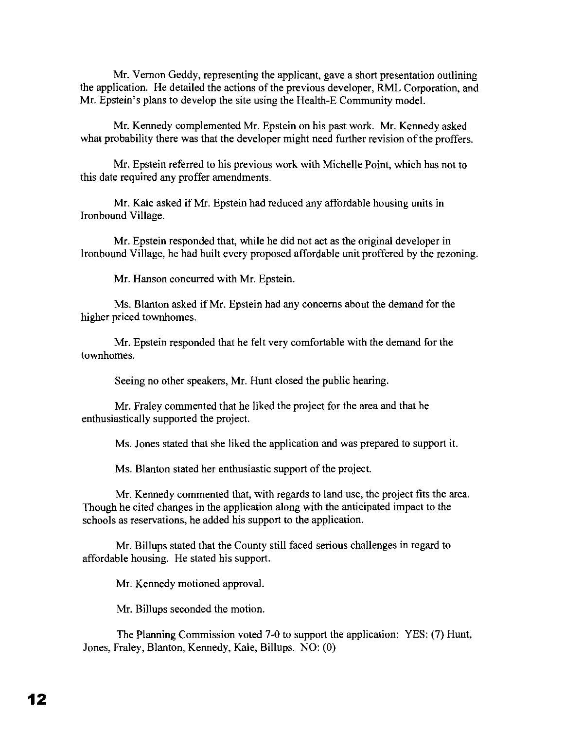Mr. Vernon Geddy, representing the applicant, gave a short presentation outlining the application. He detailed the actions of the previous developer, RML Corporation, and Mr. Epstein's plans to develop the site using the Health-E Community model.

Mr. Kennedy complemented Mr. Epstein on his past work. Mr. Kennedy asked what probability there was that the developer might need further revision of the proffers.

Mr. Epstein referred to his previous work with Michelle Point, which has not to this date required any proffer amendments.

Mr. Kale asked if Mr. Epstein had reduced any affordable housing units in Ironbound Village.

Mr. Epstein responded that, while he did not act as the original developer in Ironbound Village, he had built every proposed affordable unit proffered by the rezoning.

Mr. Hanson concurred with Mr. Epstein.

Ms. Blanton asked if Mr. Epstein had any concerns about the demand for the higher priced townhomes.

Mr. Epstein responded that he felt very comfortable with the demand for the townhomes.

Seeing no other speakers, Mr. Hunt closed the public hearing.

Mr. Fraley commented that he liked the project for the area and that he enthusiastically supported the project.

Ms. Jones stated that she liked the application and was prepared to support it.

Ms. Blanton stated her enthusiastic support of the project.

Mr. Kennedy commented that, with regards to land use, the project fits the area. Though he cited changes in the application along with the anticipated impact to the schools as reservations, he added his support to the application.

Mr. Billups stated that the County still faced serious challenges in regard to affordable housing. He stated his support.

Mr. Kennedy motioned approval.

Mr. Billups seconded the motion.

The Planning Commission voted 7-0 to support the application: YES: (7) Hunt, Jones, Fraley, Blanton, Kennedy, Kale, Billups. NO: (0)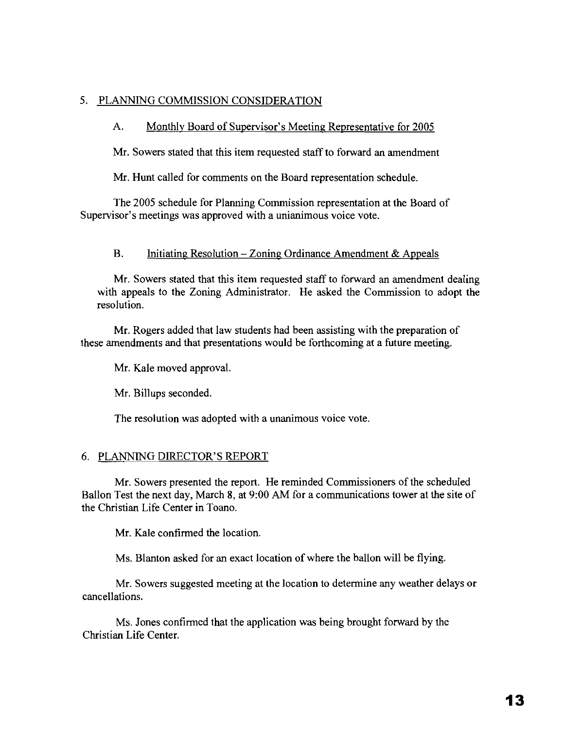# 5. PLANNING COMMISSION CONSIDERATION

# A. Monthly Board of Supervisor's Meeting Representative for 2005

Mr. Sowers stated that this item requested staff to forward an amendment

Mr. Hunt called for comments on the Board representation schedule.

The 2005 schedule for Planning Commission representation at the Board of Supervisor's meetings was approved with a unianimous voice vote.

## B. Initiating Resolution – Zoning Ordinance Amendment & Appeals

Mr. Sowers stated that this item requested staff to forward an amendment dealing with appeals to the Zoning Administrator. He asked the Commission to adopt the resolution.

Mr. Rogers added that law students had been assisting with the preparation of these amendments and that presentations would be forthcoming at a future meeting.

Mr. Kale moved approval.

Mr. Billups seconded.

The resolution was adopted with a unanimous voice vote.

# 6. PLANNING DIRECTOR'S REPORT

Mr. Sowers presented the report. He reminded Commissioners of the scheduled Bailon Test the next day, March 8, at 9:00 AM for a communications tower at the site of the Christian Life Center in Toano.

Mr. Kale confirmed the location.

Ms. Blanton asked for an exact location of where the ballon will be flying.

Mr. Sowers suggested meeting at the location to determine any weather delays or cancellations.

Ms. Jones confirmed that the application was being brought forward by the Christian Life Center.